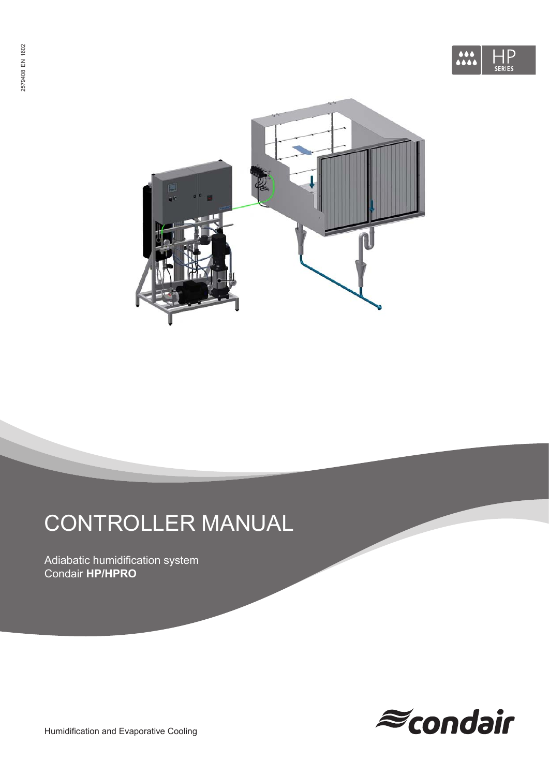



# CONTROLLER MANUAL

Adiabatic humidification system Condair **HP/HPRO**



Humidification and Evaporative Cooling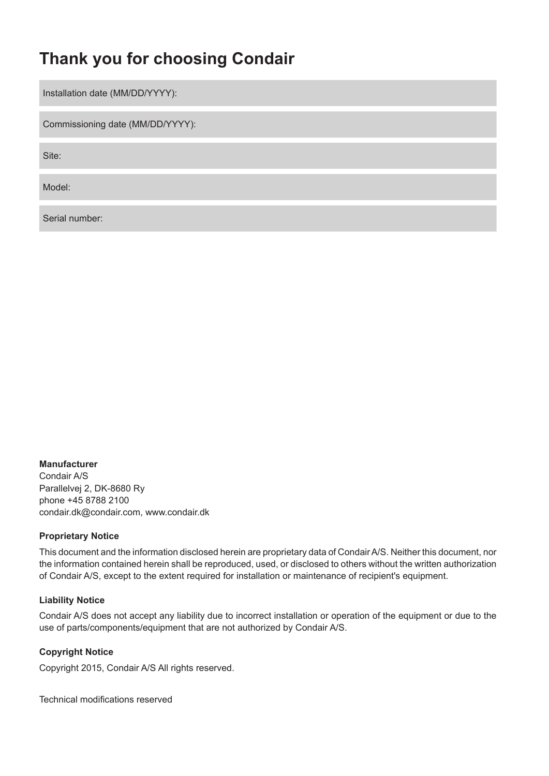## **Thank you for choosing Condair**

Installation date (MM/DD/YYYY):

Commissioning date (MM/DD/YYYY):

Site:

Model:

Serial number:

#### **Manufacturer**

Condair A/S Parallelvej 2, DK-8680 Ry phone +45 8788 2100 condair.dk@condair.com, www.condair.dk

#### **Proprietary Notice**

This document and the information disclosed herein are proprietary data of Condair A/S. Neither this document, nor the information contained herein shall be reproduced, used, or disclosed to others without the written authorization of Condair A/S, except to the extent required for installation or maintenance of recipient's equipment.

#### **Liability Notice**

Condair A/S does not accept any liability due to incorrect installation or operation of the equipment or due to the use of parts/components/equipment that are not authorized by Condair A/S.

#### **Copyright Notice**

Copyright 2015, Condair A/S All rights reserved.

Technical modifications reserved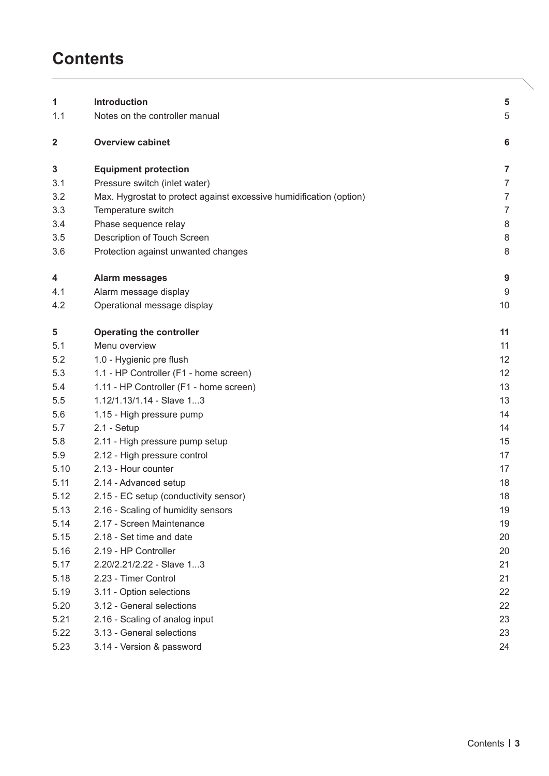## **Contents**

| 1    | <b>Introduction</b>                                                 | 5              |
|------|---------------------------------------------------------------------|----------------|
| 1.1  | Notes on the controller manual                                      | 5              |
|      |                                                                     |                |
| 2    | <b>Overview cabinet</b>                                             | 6              |
| 3    | <b>Equipment protection</b>                                         | $\overline{7}$ |
| 3.1  | Pressure switch (inlet water)                                       | $\overline{7}$ |
| 3.2  | Max. Hygrostat to protect against excessive humidification (option) | $\overline{7}$ |
| 3.3  | Temperature switch                                                  | $\overline{7}$ |
| 3.4  | Phase sequence relay                                                | $\,8\,$        |
| 3.5  | Description of Touch Screen                                         | $\,8\,$        |
| 3.6  | Protection against unwanted changes                                 | 8              |
| 4    | <b>Alarm messages</b>                                               | $9$            |
| 4.1  | Alarm message display                                               | 9              |
| 4.2  | Operational message display                                         | 10             |
| 5    | <b>Operating the controller</b>                                     | 11             |
| 5.1  | Menu overview                                                       | 11             |
| 5.2  | 1.0 - Hygienic pre flush                                            | 12             |
| 5.3  | 1.1 - HP Controller (F1 - home screen)                              | 12             |
| 5.4  | 1.11 - HP Controller (F1 - home screen)                             | 13             |
| 5.5  | 1.12/1.13/1.14 - Slave 13                                           | 13             |
| 5.6  | 1.15 - High pressure pump                                           | 14             |
| 5.7  | $2.1 - Setup$                                                       | 14             |
| 5.8  | 2.11 - High pressure pump setup                                     | 15             |
| 5.9  | 2.12 - High pressure control                                        | 17             |
| 5.10 | 2.13 - Hour counter                                                 | 17             |
| 5.11 | 2.14 - Advanced setup                                               | 18             |
| 5.12 | 2.15 - EC setup (conductivity sensor)                               | 18             |
| 5.13 | 2.16 - Scaling of humidity sensors                                  | 19             |
| 5.14 | 2.17 - Screen Maintenance                                           | 19             |
| 5.15 | 2.18 - Set time and date                                            | 20             |
| 5.16 | 2.19 - HP Controller                                                | 20             |
| 5.17 | 2.20/2.21/2.22 - Slave 13                                           | 21             |
| 5.18 | 2.23 - Timer Control                                                | 21             |
| 5.19 | 3.11 - Option selections                                            | 22             |
| 5.20 | 3.12 - General selections                                           | 22             |
| 5.21 | 2.16 - Scaling of analog input                                      | 23             |
| 5.22 | 3.13 - General selections                                           | 23             |
| 5.23 | 3.14 - Version & password                                           | 24             |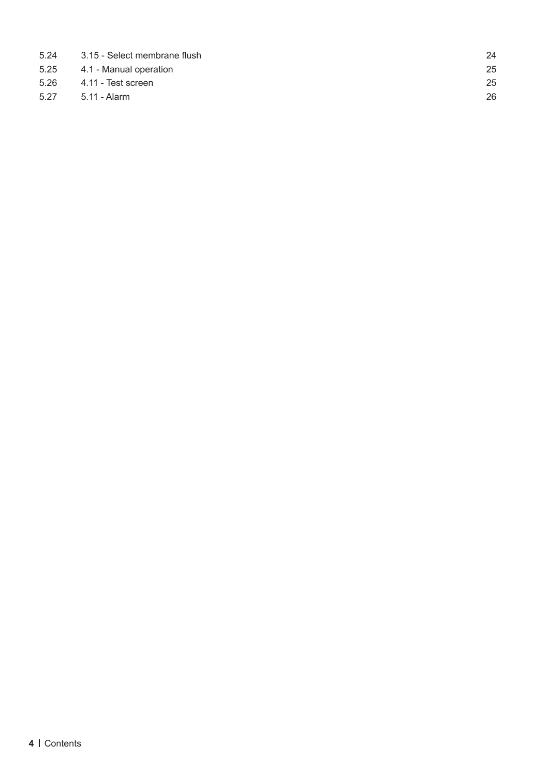| 5.24 | 3.15 - Select membrane flush | 24 |
|------|------------------------------|----|
|      | 5.25 4.1 - Manual operation  | 25 |
|      | 5.26 4.11 - Test screen      | 25 |
| 5.27 | 5.11 - Alarm                 | 26 |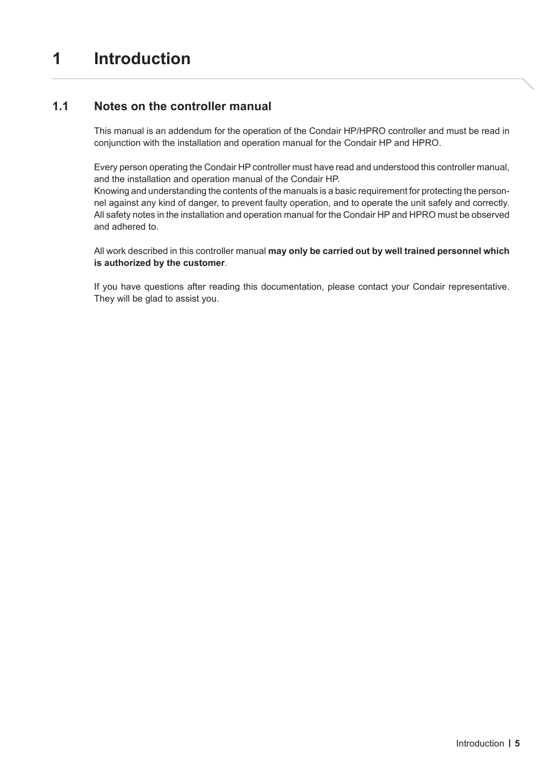## <span id="page-4-0"></span>**1 Introduction**

### **1.1 Notes on the controller manual**

This manual is an addendum for the operation of the Condair HP/HPRO controller and must be read in conjunction with the installation and operation manual for the Condair HP and HPRO.

Every person operating the Condair HP controller must have read and understood this controller manual, and the installation and operation manual of the Condair HP.

Knowing and understanding the contents of the manuals is a basic requirement for protecting the personnel against any kind of danger, to prevent faulty operation, and to operate the unit safely and correctly. All safety notes in the installation and operation manual for the Condair HP and HPRO must be observed and adhered to.

All work described in this controller manual **may only be carried out by well trained personnel which is authorized by the customer**.

If you have questions after reading this documentation, please contact your Condair representative. They will be glad to assist you.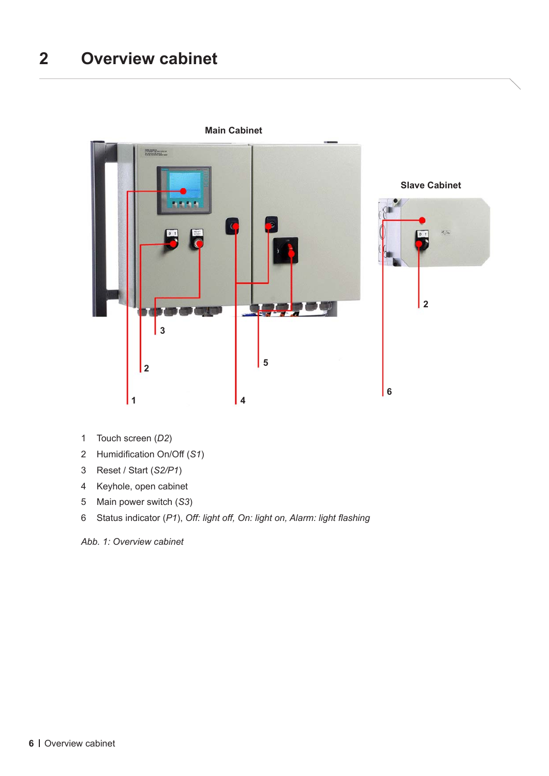## <span id="page-5-0"></span>**Overview cabinet**



**Main Cabinet**

- Touch screen (*D2*)
- Humidification On/Off (*S1*)
- Reset / Start (*S2/P1*)
- Keyhole, open cabinet
- Main power switch (*S3*)
- 6 Status indicator (*P1*), *Off: light off, On: light on, Alarm: light flashing*

*Abb. 1: Overview cabinet*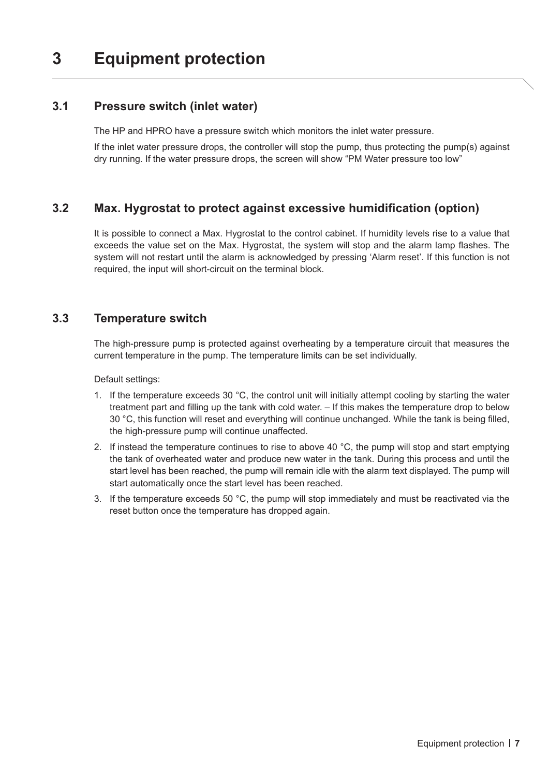## <span id="page-6-0"></span>**3 Equipment protection**

### **3.1 Pressure switch (inlet water)**

The HP and HPRO have a pressure switch which monitors the inlet water pressure.

If the inlet water pressure drops, the controller will stop the pump, thus protecting the pump(s) against dry running. If the water pressure drops, the screen will show "PM Water pressure too low"

## **3.2 Max. Hygrostat to protect against excessive humidification (option)**

It is possible to connect a Max. Hygrostat to the control cabinet. If humidity levels rise to a value that exceeds the value set on the Max. Hygrostat, the system will stop and the alarm lamp flashes. The system will not restart until the alarm is acknowledged by pressing 'Alarm reset'. If this function is not required, the input will short-circuit on the terminal block.

### **3.3 Temperature switch**

The high-pressure pump is protected against overheating by a temperature circuit that measures the current temperature in the pump. The temperature limits can be set individually.

Default settings:

- 1. If the temperature exceeds 30 °C, the control unit will initially attempt cooling by starting the water treatment part and filling up the tank with cold water. – If this makes the temperature drop to below 30 °C, this function will reset and everything will continue unchanged. While the tank is being filled, the high-pressure pump will continue unaffected.
- 2. If instead the temperature continues to rise to above 40 °C, the pump will stop and start emptying the tank of overheated water and produce new water in the tank. During this process and until the start level has been reached, the pump will remain idle with the alarm text displayed. The pump will start automatically once the start level has been reached.
- 3. If the temperature exceeds 50 °C, the pump will stop immediately and must be reactivated via the reset button once the temperature has dropped again.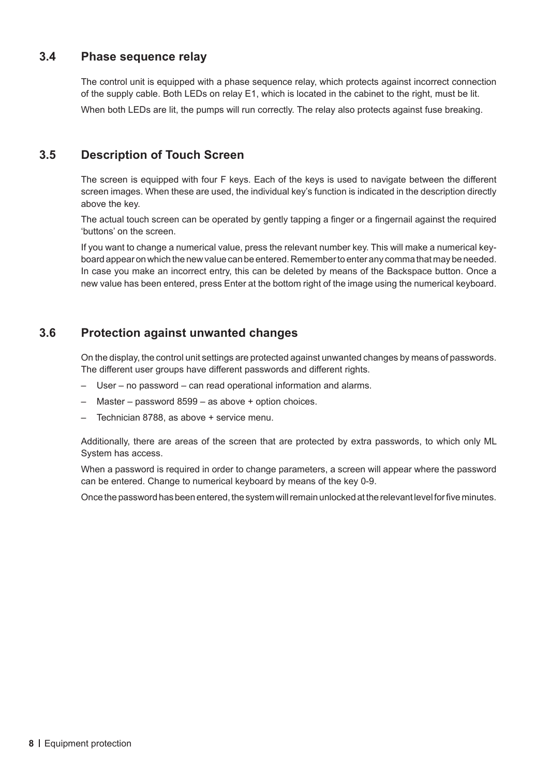### <span id="page-7-0"></span>**3.4 Phase sequence relay**

The control unit is equipped with a phase sequence relay, which protects against incorrect connection of the supply cable. Both LEDs on relay E1, which is located in the cabinet to the right, must be lit. When both LEDs are lit, the pumps will run correctly. The relay also protects against fuse breaking.

### **3.5 Description of Touch Screen**

The screen is equipped with four F keys. Each of the keys is used to navigate between the different screen images. When these are used, the individual key's function is indicated in the description directly above the key.

The actual touch screen can be operated by gently tapping a finger or a fingernail against the required 'buttons' on the screen.

If you want to change a numerical value, press the relevant number key. This will make a numerical keyboard appear on which the new value can be entered. Remember to enter any comma that may be needed. In case you make an incorrect entry, this can be deleted by means of the Backspace button. Once a new value has been entered, press Enter at the bottom right of the image using the numerical keyboard.

## **3.6 Protection against unwanted changes**

On the display, the control unit settings are protected against unwanted changes by means of passwords. The different user groups have different passwords and different rights.

- User no password can read operational information and alarms.
- Master password 8599 as above + option choices.
- Technician 8788, as above + service menu.

Additionally, there are areas of the screen that are protected by extra passwords, to which only ML System has access.

When a password is required in order to change parameters, a screen will appear where the password can be entered. Change to numerical keyboard by means of the key 0-9.

Once the password has been entered, the system will remain unlocked at the relevant level for five minutes.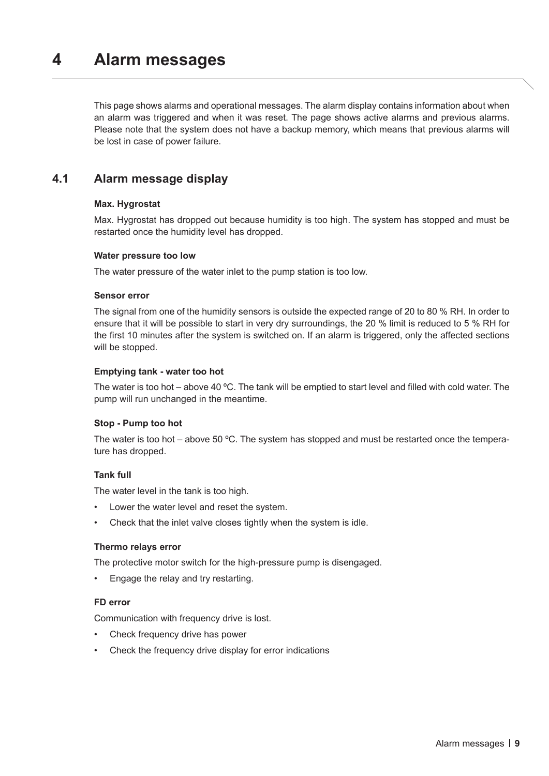## <span id="page-8-0"></span>**4 Alarm messages**

This page shows alarms and operational messages. The alarm display contains information about when an alarm was triggered and when it was reset. The page shows active alarms and previous alarms. Please note that the system does not have a backup memory, which means that previous alarms will be lost in case of power failure.

### **4.1 Alarm message display**

#### **Max. Hygrostat**

Max. Hygrostat has dropped out because humidity is too high. The system has stopped and must be restarted once the humidity level has dropped.

#### **Water pressure too low**

The water pressure of the water inlet to the pump station is too low.

#### **Sensor error**

The signal from one of the humidity sensors is outside the expected range of 20 to 80 % RH. In order to ensure that it will be possible to start in very dry surroundings, the 20 % limit is reduced to 5 % RH for the first 10 minutes after the system is switched on. If an alarm is triggered, only the affected sections will be stopped.

#### **Emptying tank - water too hot**

The water is too hot – above 40 ºC. The tank will be emptied to start level and filled with cold water. The pump will run unchanged in the meantime.

#### **Stop - Pump too hot**

The water is too hot – above 50 ºC. The system has stopped and must be restarted once the temperature has dropped.

#### **Tank full**

The water level in the tank is too high.

- Lower the water level and reset the system.
- Check that the inlet valve closes tightly when the system is idle.

#### **Thermo relays error**

The protective motor switch for the high-pressure pump is disengaged.

• Engage the relay and try restarting.

#### **FD error**

Communication with frequency drive is lost.

- Check frequency drive has power
- Check the frequency drive display for error indications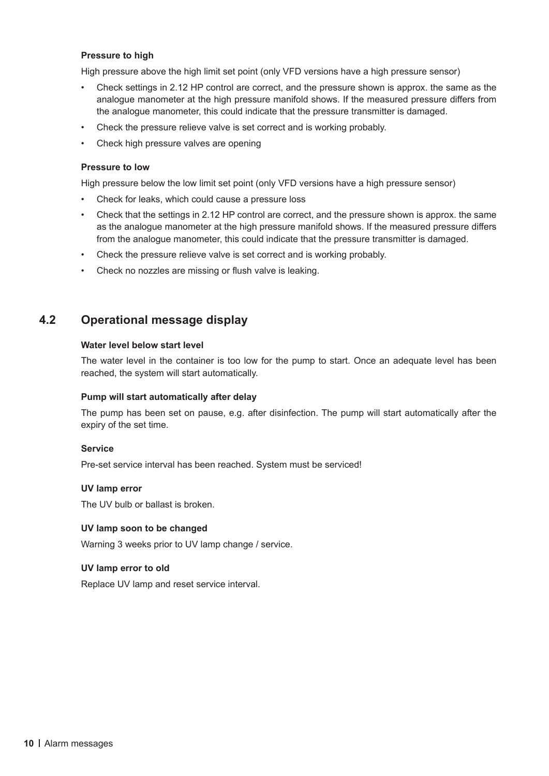#### <span id="page-9-0"></span>**Pressure to high**

High pressure above the high limit set point (only VFD versions have a high pressure sensor)

- Check settings in 2.12 HP control are correct, and the pressure shown is approx. the same as the analogue manometer at the high pressure manifold shows. If the measured pressure differs from the analogue manometer, this could indicate that the pressure transmitter is damaged.
- Check the pressure relieve valve is set correct and is working probably.
- Check high pressure valves are opening

#### **Pressure to low**

High pressure below the low limit set point (only VFD versions have a high pressure sensor)

- Check for leaks, which could cause a pressure loss
- Check that the settings in 2.12 HP control are correct, and the pressure shown is approx. the same as the analogue manometer at the high pressure manifold shows. If the measured pressure differs from the analogue manometer, this could indicate that the pressure transmitter is damaged.
- Check the pressure relieve valve is set correct and is working probably.
- Check no nozzles are missing or flush valve is leaking.

#### **4.2 Operational message display**

#### **Water level below start level**

The water level in the container is too low for the pump to start. Once an adequate level has been reached, the system will start automatically.

#### **Pump will start automatically after delay**

The pump has been set on pause, e.g. after disinfection. The pump will start automatically after the expiry of the set time.

#### **Service**

Pre-set service interval has been reached. System must be serviced!

#### **UV lamp error**

The UV bulb or ballast is broken.

#### **UV lamp soon to be changed**

Warning 3 weeks prior to UV lamp change / service.

#### **UV lamp error to old**

Replace UV lamp and reset service interval.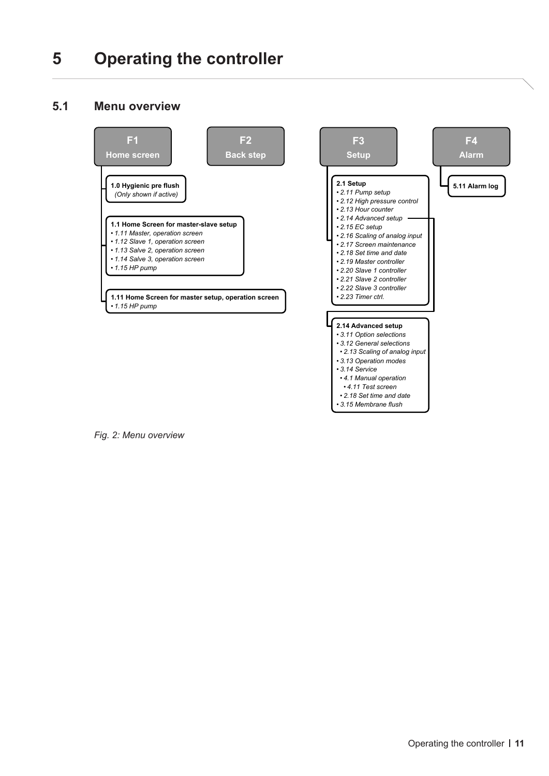## <span id="page-10-0"></span>**5 Operating the controller**

## **5.1 Menu overview**



*Fig. 2: Menu overview*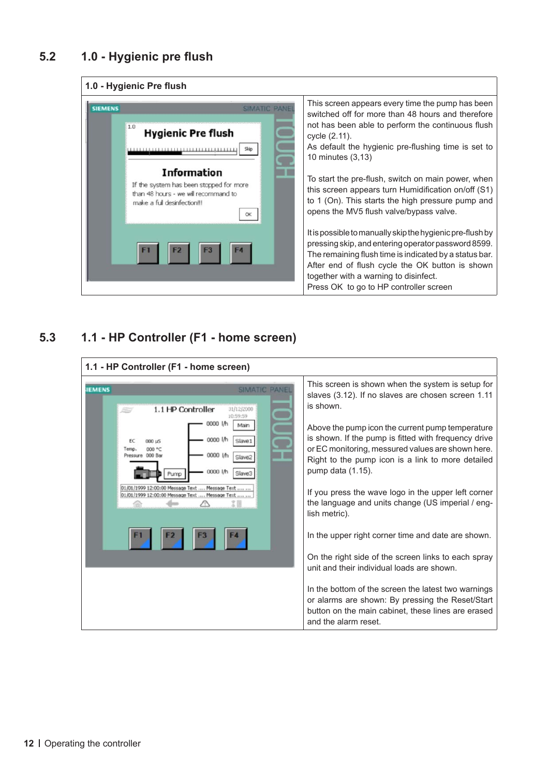## <span id="page-11-0"></span>**5.2 1.0 - Hygienic pre flush**

#### **1.0 - Hygienic Pre flush**



## **5.3 1.1 - HP Controller (F1 - home screen)**

| This screen is shown when the system is setup for<br><b>IEMENS</b><br><b>SIMATIC PANE</b><br>slaves (3.12). If no slaves are chosen screen 1.11<br>is shown.<br>1.1 HP Controller<br>31/12/2000<br>10:59:59<br>0000 IA<br>Main<br>Above the pump icon the current pump temperature<br>is shown. If the pump is fitted with frequency drive<br>0000 l/h<br>Slave1<br>$000 \text{ uS}$<br>or EC monitoring, messured values are shown here.<br>Temp.<br>000 °C<br>0000 l/h<br>Pressure 000 Bar<br>Slave2<br>Right to the pump icon is a link to more detailed<br>pump data (1.15).<br>0000 l/h<br>01/01/1999 12:00:00 Message Text  Message Text<br>If you press the wave logo in the upper left corner<br>01/01/1999 12:00:00 Message Text  Message Text<br>the language and units change (US imperial / eng-<br>lish metric).<br>In the upper right corner time and date are shown.<br>On the right side of the screen links to each spray<br>unit and their individual loads are shown. | 1.1 - HP Controller (F1 - home screen) |  |
|------------------------------------------------------------------------------------------------------------------------------------------------------------------------------------------------------------------------------------------------------------------------------------------------------------------------------------------------------------------------------------------------------------------------------------------------------------------------------------------------------------------------------------------------------------------------------------------------------------------------------------------------------------------------------------------------------------------------------------------------------------------------------------------------------------------------------------------------------------------------------------------------------------------------------------------------------------------------------------------|----------------------------------------|--|
| In the bottom of the screen the latest two warnings<br>or alarms are shown: By pressing the Reset/Start<br>button on the main cabinet, these lines are erased<br>and the alarm reset.                                                                                                                                                                                                                                                                                                                                                                                                                                                                                                                                                                                                                                                                                                                                                                                                    |                                        |  |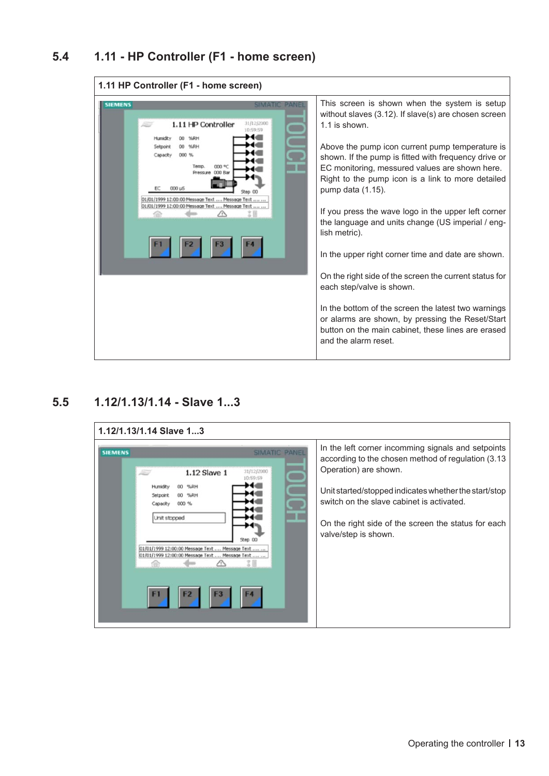## <span id="page-12-0"></span>**5.4 1.11 - HP Controller (F1 - home screen)**



## **5.5 1.12/1.13/1.14 - Slave 1...3**

| <b>SIEMENS</b> | 1.12 Slave 1<br>Setpoin<br>Unit stopped<br>01/01/1999 12:00:00 Message Text  Message Text<br>01/01/1999 12:00:00 Message Text  Message Text<br>F1 | <b>SIMATIC PANEL</b><br>31/12/2000<br>0:59:59<br>Step 00 | In the left corner incomming signals and setpoints<br>according to the chosen method of regulation (3.13)<br>Operation) are shown.<br>Unit started/stopped indicates whether the start/stop<br>switch on the slave cabinet is activated.<br>On the right side of the screen the status for each<br>valve/step is shown. |
|----------------|---------------------------------------------------------------------------------------------------------------------------------------------------|----------------------------------------------------------|-------------------------------------------------------------------------------------------------------------------------------------------------------------------------------------------------------------------------------------------------------------------------------------------------------------------------|
|----------------|---------------------------------------------------------------------------------------------------------------------------------------------------|----------------------------------------------------------|-------------------------------------------------------------------------------------------------------------------------------------------------------------------------------------------------------------------------------------------------------------------------------------------------------------------------|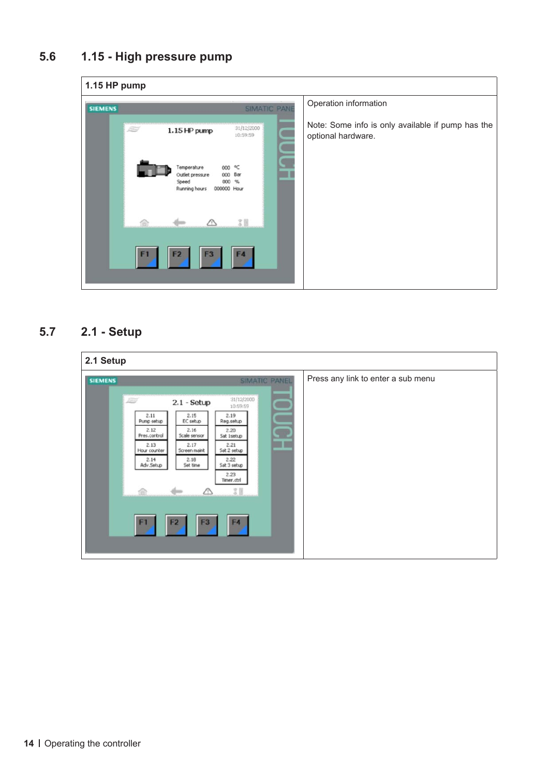## <span id="page-13-0"></span>**5.6 1.15 - High pressure pump**

| 1.15 HP pump                                                                                       |                        |                                                                         |  |  |
|----------------------------------------------------------------------------------------------------|------------------------|-------------------------------------------------------------------------|--|--|
| <b>SIEMENS</b>                                                                                     | <b>SIMATIC PANE</b>    | Operation information                                                   |  |  |
| 27<br>1.15 HP pump                                                                                 | 31/12/2000<br>10:59:59 | Note: Some info is only available if pump has the<br>optional hardware. |  |  |
| Temperature<br>000<br>Outlet pressure<br>000 Bar<br>000 %<br>Speed<br>Running hours<br>000000 Hour | ٩C                     |                                                                         |  |  |
|                                                                                                    | $30 - 10$              |                                                                         |  |  |
| F1<br>F <sub>3</sub><br>F <sub>2</sub>                                                             | F4                     |                                                                         |  |  |

## **5.7 2.1 - Setup**

| 2.1 Setup<br><b>SIEMENS</b> | SIMATIC PANEL                                                                                                                                                                                                                                                                                                                                                                                                                          | Press any link to enter a sub menu |
|-----------------------------|----------------------------------------------------------------------------------------------------------------------------------------------------------------------------------------------------------------------------------------------------------------------------------------------------------------------------------------------------------------------------------------------------------------------------------------|------------------------------------|
|                             | 31/12/2000<br>i di c<br>$2.1 - Setup$<br>10:59:59<br>2.11<br>2.15<br>2.19<br>EC setup<br>Reg.setup<br>Pump setup<br>2.12<br>2.16<br>2.20<br>Scale sensor<br>Pres.control<br>Sat Isetup<br>$\blacksquare$<br>2.13<br>2.17<br>2.21<br>Hour counter<br>Sat 2 setup<br>Screen maint<br>2.22<br>2.18<br>2.14<br>Adv.Setup<br>Set time<br>Sat 3 setup<br>2.23<br>Timer.ctrl<br>3<br>F1<br>F <sub>4</sub><br>F <sub>2</sub><br>F <sub>3</sub> |                                    |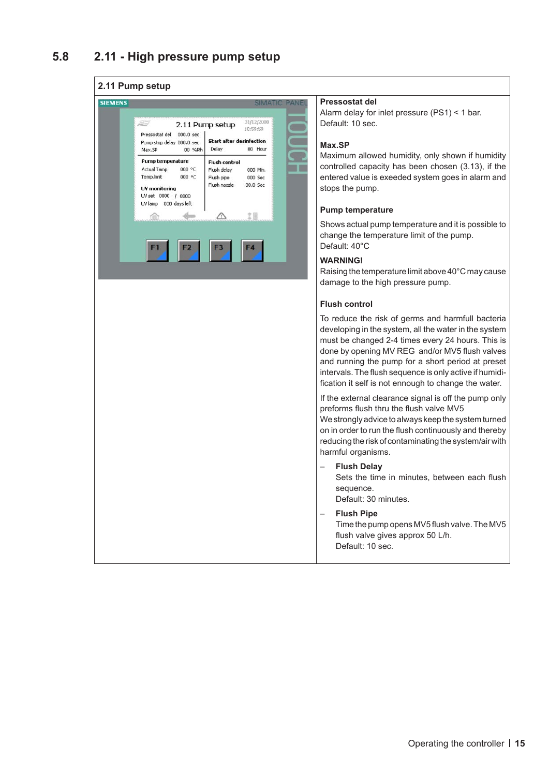#### <span id="page-14-0"></span>**2.11 Pump setup**



#### **Pressostat del**

Alarm delay for inlet pressure (PS1) < 1 bar. Default: 10 sec.

#### **Max.SP**

Maximum allowed humidity, only shown if humidity controlled capacity has been chosen (3.13), if the entered value is exeeded system goes in alarm and stops the pump.

#### **Pump temperature**

Shows actual pump temperature and it is possible to change the temperature limit of the pump. Default: 40°C

#### **WARNING!**

Raising the temperature limit above 40°C may cause damage to the high pressure pump.

#### **Flush control**

To reduce the risk of germs and harmfull bacteria developing in the system, all the water in the system must be changed 2-4 times every 24 hours. This is done by opening MV REG and/or MV5 flush valves and running the pump for a short period at preset intervals. The flush sequence is only active if humidification it self is not ennough to change the water.

If the external clearance signal is off the pump only preforms flush thru the flush valve MV5

We strongly advice to always keep the system turned on in order to run the flush continuously and thereby reducing the risk of contaminating the system/air with harmful organisms.

- **Flush Delay** Sets the time in minutes, between each flush sequence. Default: 30 minutes.
- **Flush Pipe**

Time the pump opens MV5 flush valve. The MV5 flush valve gives approx 50 L/h. Default: 10 sec.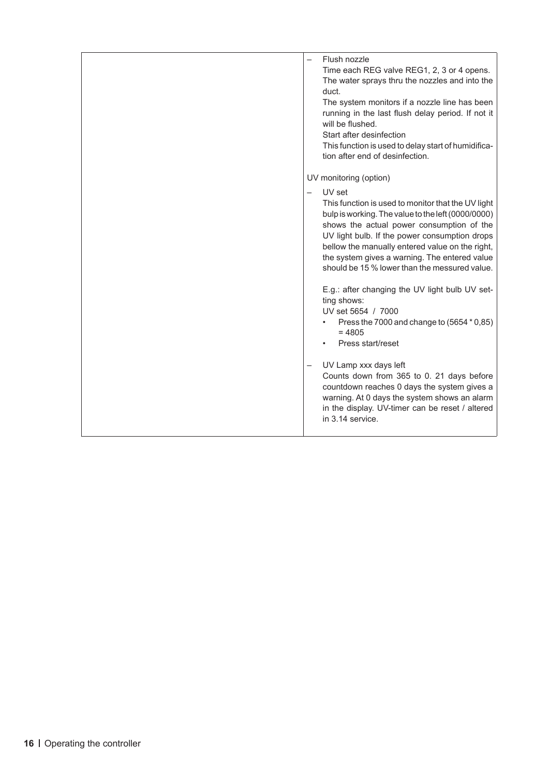| Flush nozzle<br>Time each REG valve REG1, 2, 3 or 4 opens.<br>The water sprays thru the nozzles and into the<br>duct.<br>The system monitors if a nozzle line has been<br>running in the last flush delay period. If not it<br>will be flushed.<br>Start after desinfection<br>This function is used to delay start of humidifica-<br>tion after end of desinfection.                                                                                                                                                                                                                                          |
|----------------------------------------------------------------------------------------------------------------------------------------------------------------------------------------------------------------------------------------------------------------------------------------------------------------------------------------------------------------------------------------------------------------------------------------------------------------------------------------------------------------------------------------------------------------------------------------------------------------|
|                                                                                                                                                                                                                                                                                                                                                                                                                                                                                                                                                                                                                |
| UV monitoring (option)<br>UV set<br>$\overline{\phantom{0}}$<br>This function is used to monitor that the UV light<br>bulp is working. The value to the left (0000/0000)<br>shows the actual power consumption of the<br>UV light bulb. If the power consumption drops<br>bellow the manually entered value on the right,<br>the system gives a warning. The entered value<br>should be 15 % lower than the messured value.<br>E.g.: after changing the UV light bulb UV set-<br>ting shows:<br>UV set 5654 / 7000<br>Press the 7000 and change to (5654 * 0,85)<br>$\bullet$<br>$= 4805$<br>Press start/reset |
| UV Lamp xxx days left<br>Counts down from 365 to 0. 21 days before<br>countdown reaches 0 days the system gives a<br>warning. At 0 days the system shows an alarm<br>in the display. UV-timer can be reset / altered<br>in 3.14 service.                                                                                                                                                                                                                                                                                                                                                                       |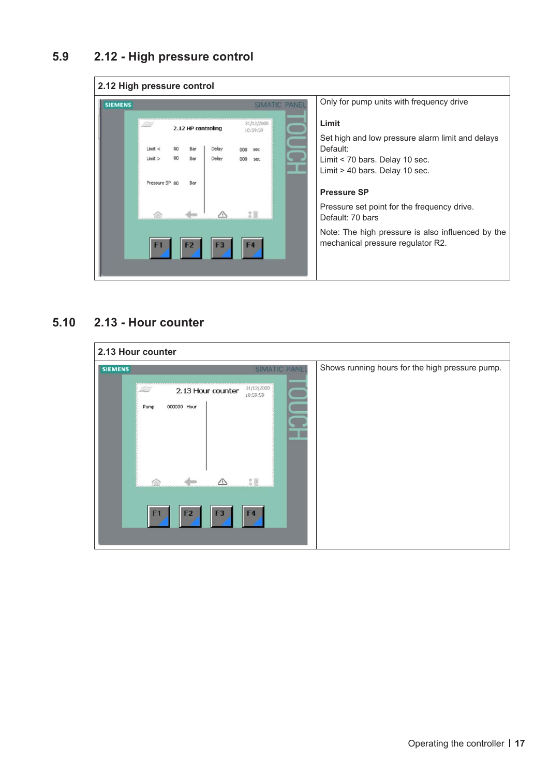## <span id="page-16-0"></span>**5.9 2.12 - High pressure control**



### **5.10 2.13 - Hour counter**

| 2.13 Hour counter |                                                                                              |                                                |                                                 |  |  |
|-------------------|----------------------------------------------------------------------------------------------|------------------------------------------------|-------------------------------------------------|--|--|
| <b>SIEMENS</b>    |                                                                                              | <b>SIMATIC PANEL</b>                           | Shows running hours for the high pressure pump. |  |  |
|                   | 2.13 Hour counter<br>For 11<br>Pump<br>000000 Hour<br>F <sub>3</sub><br>F1<br>F <sub>2</sub> | 31/12/2000<br>10:59:59<br>31<br>F <sub>4</sub> |                                                 |  |  |
|                   |                                                                                              |                                                |                                                 |  |  |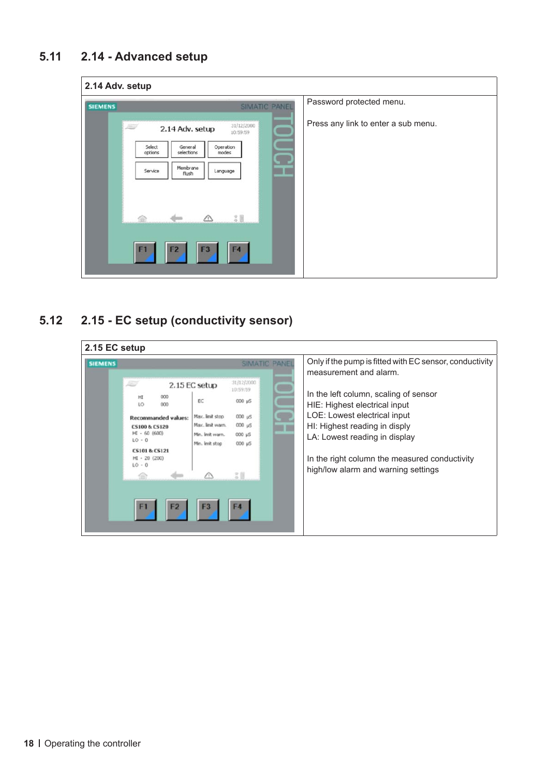<span id="page-17-0"></span>

| <b>SIEMENS</b> | <b>SIMATIC PANEL</b>                                                                                                                                                                                                  | Password protected menu.            |
|----------------|-----------------------------------------------------------------------------------------------------------------------------------------------------------------------------------------------------------------------|-------------------------------------|
|                | 31/12/2000<br>Æ<br>2.14 Adv. setup<br>10:59:59<br>Operation<br>Select<br>General<br>selections<br>modes<br>options<br>Membrane<br>Service<br>Language<br>flush<br>3 图<br>F1<br>F <sub>2</sub><br>F <sub>3</sub><br>F4 | Press any link to enter a sub menu. |

## **5.12 2.15 - EC setup (conductivity sensor)**

| 2.15 EC setup  |                                                                                                                                                                                  |                                                                                                  |                                                                                                                         |                                                                                                                                                                                                                                                                                                                                                       |
|----------------|----------------------------------------------------------------------------------------------------------------------------------------------------------------------------------|--------------------------------------------------------------------------------------------------|-------------------------------------------------------------------------------------------------------------------------|-------------------------------------------------------------------------------------------------------------------------------------------------------------------------------------------------------------------------------------------------------------------------------------------------------------------------------------------------------|
| <b>SIEMENS</b> | 15<br>000<br>HI<br>LO<br>000<br><b>Recommanded values:</b><br><b>CS100 &amp; CS120</b><br>$HI - 60$ (600)<br>$LO - 0$<br><b>CS101 &amp; CS121</b><br>$HI - 20 (200)$<br>$LO - 0$ | 2.15 EC setup<br>EC<br>Max. limit stop<br>Max. limit warn.<br>Min. limit warn.<br>Min. Imit stop | <b>SIMATIC PANEL</b><br>31/12/2000<br>10:59:59<br>000 µS<br>$000 \mu S$<br>$000 \mu$ 5<br>000 µS<br>000 µS<br>200<br>F4 | Only if the pump is fitted with EC sensor, conductivity<br>measurement and alarm.<br>In the left column, scaling of sensor<br>HIE: Highest electrical input<br>LOE: Lowest electrical input<br>HI: Highest reading in disply<br>LA: Lowest reading in display<br>In the right column the measured conductivity<br>high/low alarm and warning settings |
|                |                                                                                                                                                                                  |                                                                                                  |                                                                                                                         |                                                                                                                                                                                                                                                                                                                                                       |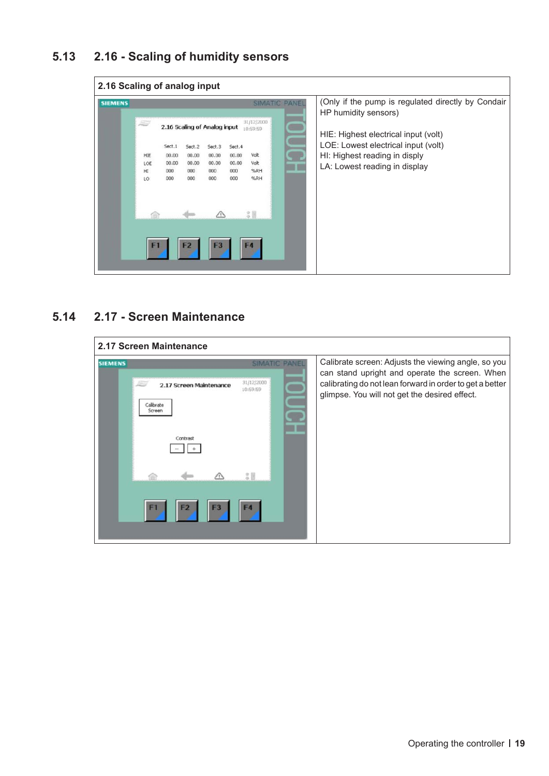## <span id="page-18-0"></span>**5.13 2.16 - Scaling of humidity sensors**



#### **5.14 2.17 - Screen Maintenance**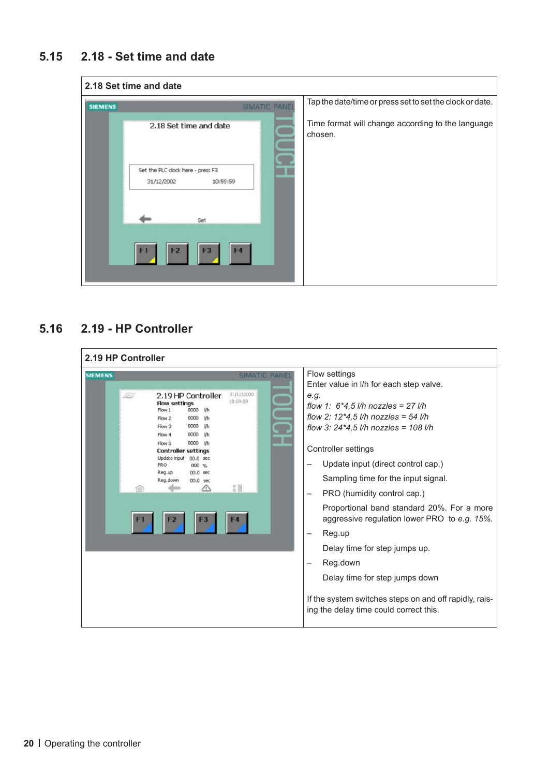## <span id="page-19-0"></span>**5.15 2.18 - Set time and date**



## **5.16 2.19 - HP Controller**

| 2.19 HP Controller<br><b>SIEMENS</b><br>2.19 HP Controller<br><b>Flow settings</b><br>Flow 1<br>0000<br><b>Uh</b><br>Flow 2<br>0000<br><b>Uh</b><br>Flow 3<br>0000<br>lih<br>Flow 4<br>0000<br>-l/h<br>Flow 5<br>0000<br>-lib<br><b>Controller settings</b><br>Update input 00.0 sec<br>PRO<br>000 %<br>Reg.up<br>00.0 sec<br>Reg.down<br>00.0 sec | <b>SIMATIC PANEL</b><br>31/12/2000<br>10:59:59 | Flow settings<br>Enter value in I/h for each step valve.<br>e.g.<br>flow 1: $6*4,5$ l/h nozzles = 27 l/h<br>flow 2: $12*4,5$ l/h nozzles = 54 l/h<br>flow 3: $24*4,5$ I/h nozzles = 108 I/h<br>Controller settings<br>Update input (direct control cap.)<br>Sampling time for the input signal.                        |
|----------------------------------------------------------------------------------------------------------------------------------------------------------------------------------------------------------------------------------------------------------------------------------------------------------------------------------------------------|------------------------------------------------|------------------------------------------------------------------------------------------------------------------------------------------------------------------------------------------------------------------------------------------------------------------------------------------------------------------------|
|                                                                                                                                                                                                                                                                                                                                                    |                                                | PRO (humidity control cap.)<br>Proportional band standard 20%. For a more<br>aggressive regulation lower PRO to e.g. 15%.<br>Reg.up<br>Delay time for step jumps up.<br>Reg.down<br>Delay time for step jumps down<br>If the system switches steps on and off rapidly, rais-<br>ing the delay time could correct this. |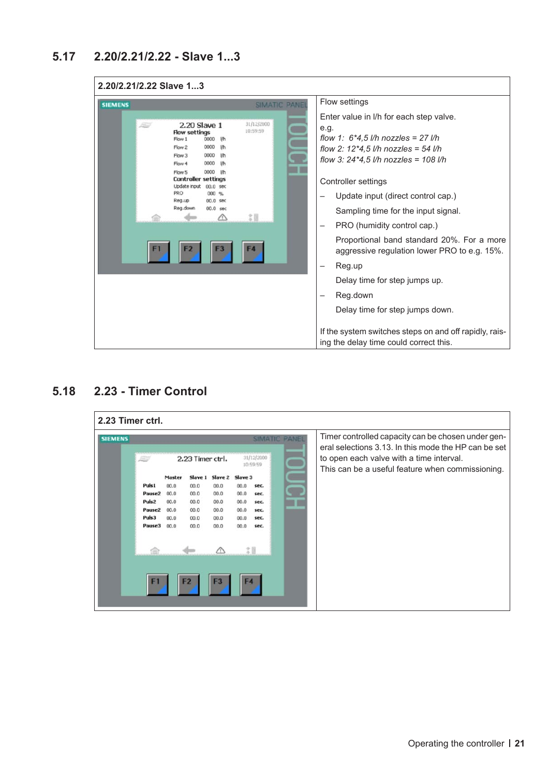<span id="page-20-0"></span>

| 2.20/2.21/2.22 Slave 13                                                                                                                                                                                                                                                                                            |                      |                                                                                                                                                                                                                                                                                                                                                                                                                                                                                                                                                                                                           |  |
|--------------------------------------------------------------------------------------------------------------------------------------------------------------------------------------------------------------------------------------------------------------------------------------------------------------------|----------------------|-----------------------------------------------------------------------------------------------------------------------------------------------------------------------------------------------------------------------------------------------------------------------------------------------------------------------------------------------------------------------------------------------------------------------------------------------------------------------------------------------------------------------------------------------------------------------------------------------------------|--|
| <b>SIEMENS</b>                                                                                                                                                                                                                                                                                                     | <b>SIMATIC PANEL</b> | Flow settings                                                                                                                                                                                                                                                                                                                                                                                                                                                                                                                                                                                             |  |
| 31/12/2000<br>2.20 Slave 1<br>10:59:59<br><b>Flow settings</b><br>Flow 1<br>0000<br><b>I/h</b><br>0000<br>Flow 2<br>l/h<br>0000<br>Flow 3<br>0000<br>Flow 4<br>0000<br>lih<br>Flow 5<br><b>Controller settings</b><br>Update input 00.0 sec<br>PRO<br>000 %<br>Reg.up<br>00.0 sec<br>Reg.down<br>$00.0$ sec<br>ŽΠ. |                      | Enter value in I/h for each step valve.<br>e.g.<br>flow 1: $6*4.5$ l/h nozzles = 27 l/h<br>flow 2: $12*4,5$ l/h nozzles = 54 l/h<br>flow 3: $24*4,5$ I/h nozzles = 108 I/h<br>Controller settings<br>Update input (direct control cap.)<br>Sampling time for the input signal.<br>PRO (humidity control cap.)<br>Proportional band standard 20%. For a more<br>aggressive regulation lower PRO to e.g. 15%.<br>Reg.up<br>Delay time for step jumps up.<br>Reg.down<br>Delay time for step jumps down.<br>If the system switches steps on and off rapidly, rais-<br>ing the delay time could correct this. |  |

## **5.18 2.23 - Timer Control**

| 2.23 Timer ctrl. |                        |        |         |                        |                |      |                                                                                              |                                                                                                            |
|------------------|------------------------|--------|---------|------------------------|----------------|------|----------------------------------------------------------------------------------------------|------------------------------------------------------------------------------------------------------------|
| <b>SIEMENS</b>   | <b>SIMATIC</b>         |        |         |                        |                |      |                                                                                              | Timer controlled capacity can be chosen under gen-<br>eral selections 3.13. In this mode the HP can be set |
|                  | 2.23 Timer ctrl.<br>25 |        |         | 31/12/2000<br>10:59:59 |                |      | to open each valve with a time interval.<br>This can be a useful feature when commissioning. |                                                                                                            |
|                  |                        | Master | Slave 1 | Slave 2                | Slave 3        |      |                                                                                              |                                                                                                            |
|                  | Puls1                  | 00.0   | 00.0    | 00.0                   | 00.0           | sec. |                                                                                              |                                                                                                            |
|                  | Pause <sub>2</sub>     | 00.0   | 00.0    | 00.0                   | 00.0           | sec. |                                                                                              |                                                                                                            |
|                  | Puls <sub>2</sub>      | 00.0   | 00.0    | 00.0                   | 00.0           | sec. |                                                                                              |                                                                                                            |
|                  | Pause <sub>2</sub>     | 00.0   | 00.0    | 00.0                   | 00.0           | sec. |                                                                                              |                                                                                                            |
|                  | Puls3                  | 00.0   | 00.0    | 00.0                   | 00.0           | sec. |                                                                                              |                                                                                                            |
|                  | Pause3                 | 00.0   | 00.0    | 00.0                   | 00.0           | sec. |                                                                                              |                                                                                                            |
|                  |                        |        |         |                        | $\mathfrak{A}$ |      |                                                                                              |                                                                                                            |
|                  | F1                     |        | F2      | F <sub>3</sub>         | F4             |      |                                                                                              |                                                                                                            |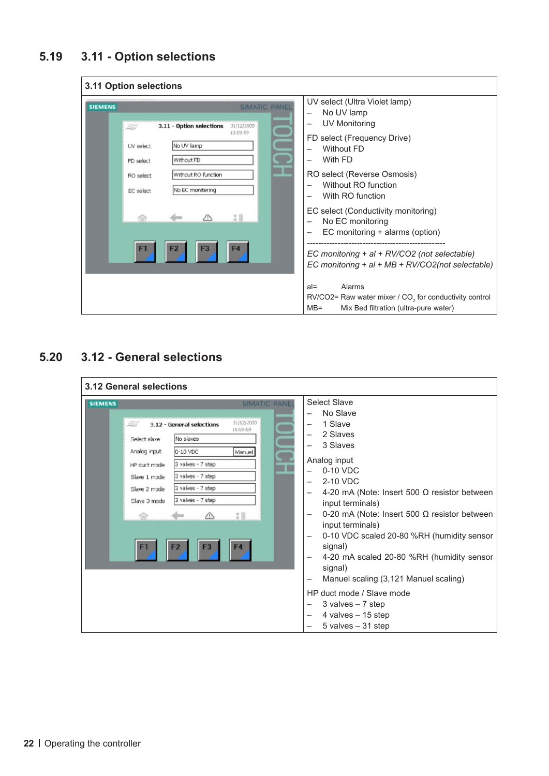## <span id="page-21-0"></span>**5.19 3.11 - Option selections**

| 3.11 Option selections                                                                                                                                                             |                                                |                                                                                                                                                                                                       |
|------------------------------------------------------------------------------------------------------------------------------------------------------------------------------------|------------------------------------------------|-------------------------------------------------------------------------------------------------------------------------------------------------------------------------------------------------------|
| <b>SIEMENS</b><br>3.11 - Option selections<br>89<br>No UV lamp<br>UV select<br>Without FD<br>FD select<br>Without RO function<br>RO select<br>No EC monitering<br><b>EC</b> select | <b>SIMATIC PANEL</b><br>31/12/2000<br>10:59:59 | UV select (Ultra Violet lamp)<br>No UV lamp<br>UV Monitoring<br>FD select (Frequency Drive)<br><b>Without FD</b><br>With FD<br>RO select (Reverse Osmosis)<br>Without RO function<br>With RO function |
|                                                                                                                                                                                    |                                                | EC select (Conductivity monitoring)<br>No EC monitoring<br>EC monitoring + alarms (option)<br>EC monitoring + al + RV/CO2 (not selectable)                                                            |
|                                                                                                                                                                                    |                                                | EC monitoring $+ al + MB + RV/CO2 (not selected be)$<br>Alarms<br>$al =$<br>$RV/CO2=$ Raw water mixer / $CO2$ for conductivity control<br>Mix Bed filtration (ultra-pure water)<br>$MB =$             |

## **5.20 3.12 - General selections**

| 3.12 General selections                                                                                                                                                                                                                                                                                              |                                                                                                                                                                                                                                                                                                                                                                                                                                                                                                                                                                                                 |
|----------------------------------------------------------------------------------------------------------------------------------------------------------------------------------------------------------------------------------------------------------------------------------------------------------------------|-------------------------------------------------------------------------------------------------------------------------------------------------------------------------------------------------------------------------------------------------------------------------------------------------------------------------------------------------------------------------------------------------------------------------------------------------------------------------------------------------------------------------------------------------------------------------------------------------|
| <b>SIMATIC PANEI</b><br><b>SIEMENS</b><br>31/12/2000<br>3.12 - General selections<br>10:59:59<br>No slaves<br>Select slave<br>Analog input<br>0-10 VDC<br>Manuel<br>3 valves - 7 step<br>HP duct mode<br>3 valves - 7 step<br>Slave 1 mode<br>3 valves - 7 step<br>Slave 2 mode<br>3 valves - 7 step<br>Slave 3 mode | <b>Select Slave</b><br>No Slave<br>1 Slave<br>2 Slaves<br>3 Slaves<br>Analog input<br>0-10 VDC<br>2-10 VDC<br>$\overline{\phantom{0}}$<br>4-20 mA (Note: Insert 500 $\Omega$ resistor between<br>input terminals)<br>0-20 mA (Note: Insert 500 $\Omega$ resistor between<br>input terminals)<br>0-10 VDC scaled 20-80 %RH (humidity sensor<br>-<br>signal)<br>4-20 mA scaled 20-80 %RH (humidity sensor<br>signal)<br>Manuel scaling (3,121 Manuel scaling)<br>-<br>HP duct mode / Slave mode<br>3 valves $-7$ step<br>4 valves $-15$ step<br>$\overline{\phantom{0}}$<br>$5$ valves $-31$ step |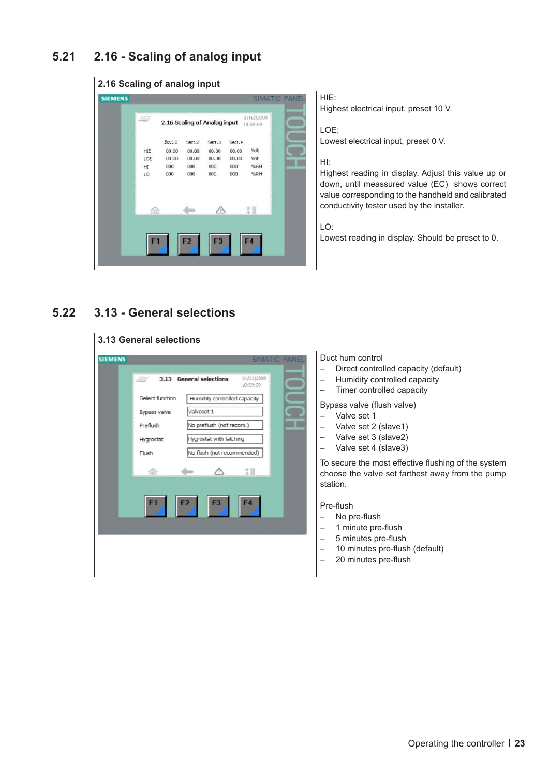## <span id="page-22-0"></span>**5.21 2.16 - Scaling of analog input**



## **5.22 3.13 - General selections**

| <b>3.13 General selections</b>                                                                                                                                                                                                                                                                                 |                                                                                                                                                                                                                                                                                                                                                                                                                                                                                                       |
|----------------------------------------------------------------------------------------------------------------------------------------------------------------------------------------------------------------------------------------------------------------------------------------------------------------|-------------------------------------------------------------------------------------------------------------------------------------------------------------------------------------------------------------------------------------------------------------------------------------------------------------------------------------------------------------------------------------------------------------------------------------------------------------------------------------------------------|
| <b>SIEMENS</b><br><b>SIMATIC</b><br><b>PANE</b><br>31/12/2000<br>3.13 - General selections<br>10:59:59<br>Select function<br>Humidity controlled capacity<br>Valveset 1<br>Bypass valve<br>No preflush (not recom.)<br>Preflush<br>Hygrostat with latching<br>Hygrostat<br>No flush (not recommended)<br>Flush | Duct hum control<br>Direct controlled capacity (default)<br>Humidity controlled capacity<br>Timer controlled capacity<br>Bypass valve (flush valve)<br>Valve set 1<br>Valve set 2 (slave1)<br>Valve set 3 (slave2)<br>Valve set 4 (slave3)<br>To secure the most effective flushing of the system<br>choose the valve set farthest away from the pump<br>station.<br>Pre-flush<br>No pre-flush<br>1 minute pre-flush<br>5 minutes pre-flush<br>10 minutes pre-flush (default)<br>20 minutes pre-flush |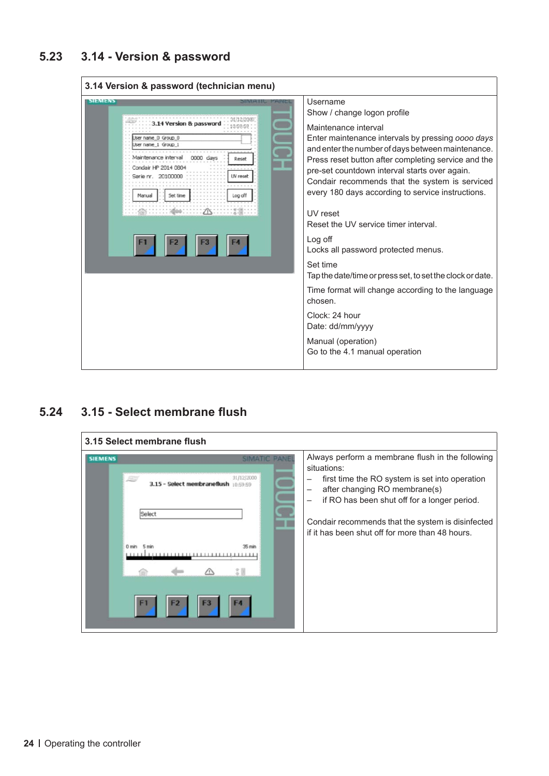## <span id="page-23-0"></span>**5.23 3.14 - Version & password**



### **5.24 3.15 - Select membrane flush**

| <b>SIEMENS</b><br>31/12/2000<br>- Select membraneflush 10:59:59<br>3.15<br>Select<br>$35 \text{ min}$<br>1111111111111111111111111111 | Always perform a membrane flush in the following<br>situations:<br>first time the RO system is set into operation<br>after changing RO membrane(s)<br>if RO has been shut off for a longer period.<br>-<br>Condair recommends that the system is disinfected<br>if it has been shut off for more than 48 hours. |
|---------------------------------------------------------------------------------------------------------------------------------------|-----------------------------------------------------------------------------------------------------------------------------------------------------------------------------------------------------------------------------------------------------------------------------------------------------------------|
|---------------------------------------------------------------------------------------------------------------------------------------|-----------------------------------------------------------------------------------------------------------------------------------------------------------------------------------------------------------------------------------------------------------------------------------------------------------------|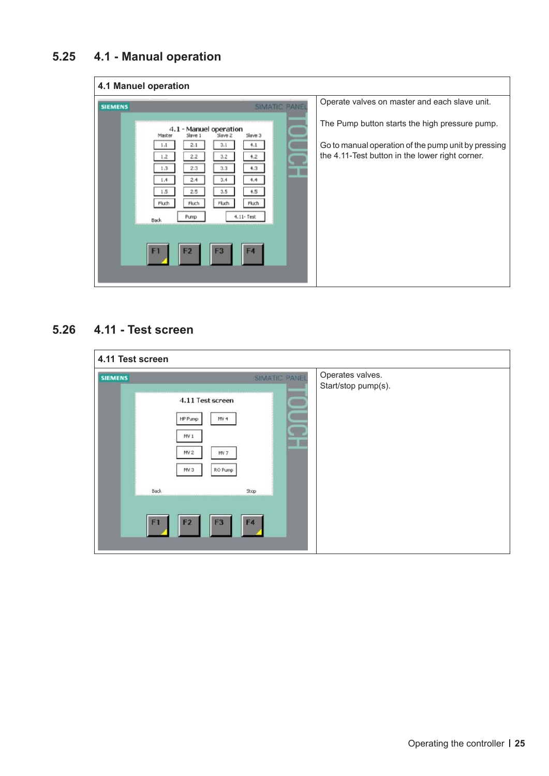## <span id="page-24-0"></span>**5.25 4.1 - Manual operation**

|                | 4.1 Manuel operation                                                                                                                                                                                                                                                                                        |                                                                                                                                                                                                           |
|----------------|-------------------------------------------------------------------------------------------------------------------------------------------------------------------------------------------------------------------------------------------------------------------------------------------------------------|-----------------------------------------------------------------------------------------------------------------------------------------------------------------------------------------------------------|
| <b>SIEMENS</b> | <b>SIMATIC PANEL</b><br>4.1 - Manuel operation<br>Slave 3<br>Slave<br>Slave <sub>2</sub><br>Master<br>2.1<br>3.1<br>4.1<br>1.1<br>2.2<br>1.2<br>3.2<br>4.2<br>2.3<br>3.3<br>4.3<br>1,3<br>2,4<br>3,4<br>1.4<br>4,4<br>2.5<br>3.5<br>1.5<br>4.5<br>Fluch<br>Fluch<br>Fluch<br>Fluch<br>$4.11 - Test$<br>Pump | Operate valves on master and each slave unit.<br>The Pump button starts the high pressure pump.<br>Go to manual operation of the pump unit by pressing<br>the 4.11-Test button in the lower right corner. |
|                | Back<br>F <sub>4</sub><br>F <sub>2</sub><br>F <sub>3</sub><br>F1                                                                                                                                                                                                                                            |                                                                                                                                                                                                           |

## **5.26 4.11 - Test screen**

| 4.11 Test screen |                                                                                                                                                                                                                                |                                         |
|------------------|--------------------------------------------------------------------------------------------------------------------------------------------------------------------------------------------------------------------------------|-----------------------------------------|
| <b>SIEMENS</b>   | SIMATIC PANEL<br>4.11 Test screen<br>HP Pump<br>MV <sub>4</sub><br>MV <sub>1</sub><br>MV <sub>2</sub><br>MV 7<br>RO Pump<br>MV <sub>3</sub><br><b>Back</b><br>Stop<br>F <sub>2</sub><br>F <sub>4</sub><br>F1<br>F <sub>3</sub> | Operates valves.<br>Start/stop pump(s). |
|                  |                                                                                                                                                                                                                                |                                         |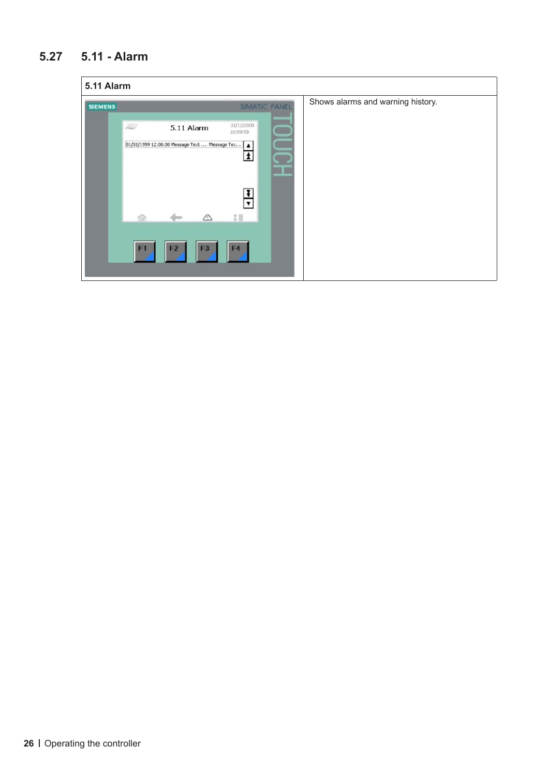## <span id="page-25-0"></span>**5.27 5.11 - Alarm**

| 5.11 Alarm     |                                                        |            |                           |               |                                   |
|----------------|--------------------------------------------------------|------------|---------------------------|---------------|-----------------------------------|
| <b>SIEMENS</b> |                                                        |            |                           | SIMATIC PANEL | Shows alarms and warning history. |
|                | 25                                                     | 5.11 Alarm | 31/12/2000<br>10:59:59    |               |                                   |
|                | 01/01/1999 12:00:00 Message Text  Message Tex   A<br>△ |            | Î<br>$\blacksquare$<br>言圖 |               |                                   |
|                | F1                                                     | F3<br>F2   | F4                        |               |                                   |